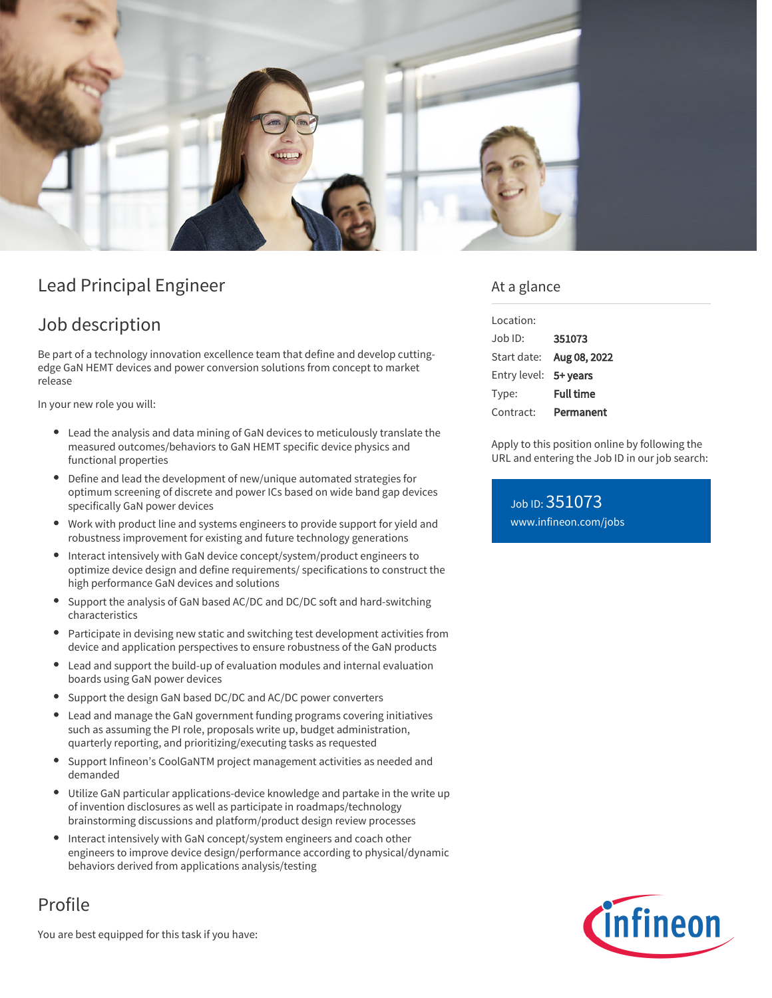

# Lead Principal Engineer

## Job description

Be part of a technology innovation excellence team that define and develop cuttingedge GaN HEMT devices and power conversion solutions from concept to market release

In your new role you will:

- Lead the analysis and data mining of GaN devices to meticulously translate the measured outcomes/behaviors to GaN HEMT specific device physics and functional properties
- Define and lead the development of new/unique automated strategies for optimum screening of discrete and power ICs based on wide band gap devices specifically GaN power devices
- Work with product line and systems engineers to provide support for yield and robustness improvement for existing and future technology generations
- Interact intensively with GaN device concept/system/product engineers to optimize device design and define requirements/ specifications to construct the high performance GaN devices and solutions
- Support the analysis of GaN based AC/DC and DC/DC soft and hard-switching characteristics
- Participate in devising new static and switching test development activities from device and application perspectives to ensure robustness of the GaN products
- Lead and support the build-up of evaluation modules and internal evaluation  $\bullet$ boards using GaN power devices
- Support the design GaN based DC/DC and AC/DC power converters
- Lead and manage the GaN government funding programs covering initiatives such as assuming the PI role, proposals write up, budget administration, quarterly reporting, and prioritizing/executing tasks as requested
- Support Infineon's CoolGaNTM project management activities as needed and demanded
- Utilize GaN particular applications-device knowledge and partake in the write up of invention disclosures as well as participate in roadmaps/technology brainstorming discussions and platform/product design review processes
- Interact intensively with GaN concept/system engineers and coach other engineers to improve device design/performance according to physical/dynamic behaviors derived from applications analysis/testing

## Profile

You are best equipped for this task if you have:

### At a glance

| Location:    |                  |
|--------------|------------------|
| Job ID:      | 351073           |
| Start date:  | Aug 08, 2022     |
| Entry level: | 5+ years         |
| Type:        | <b>Full time</b> |
| Contract:    | Permanent        |

Apply to this position online by following the URL and entering the Job ID in our job search:

Job ID: 351073 [www.infineon.com/jobs](https://www.infineon.com/jobs)

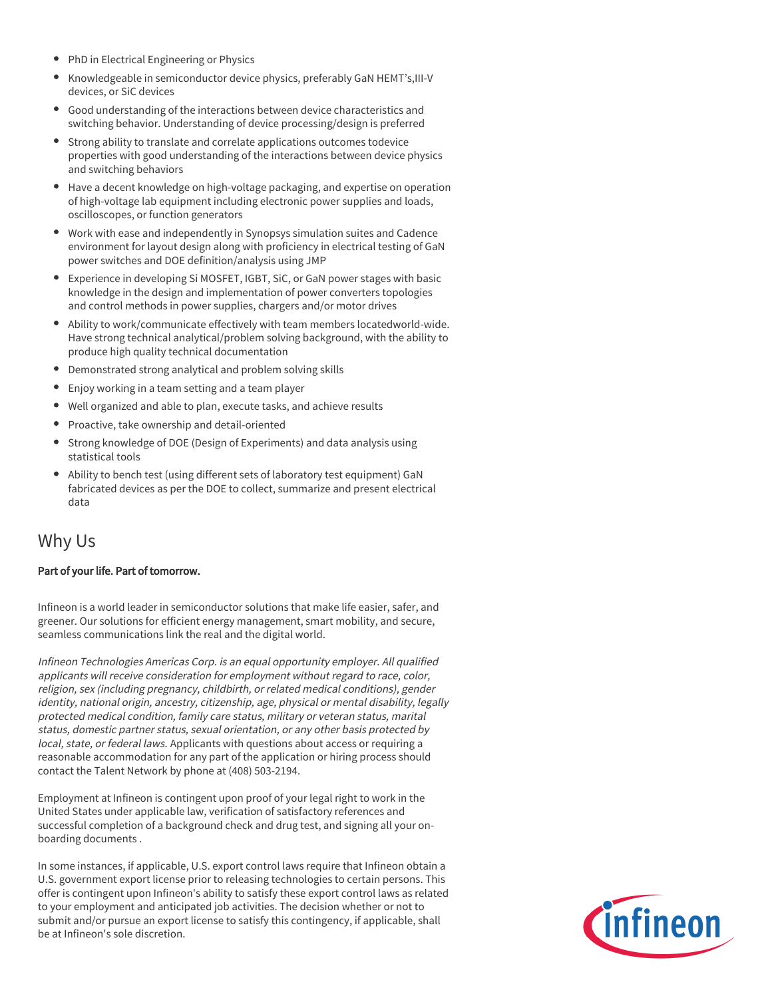- PhD in Electrical Engineering or Physics
- $\bullet$ Knowledgeable in semiconductor device physics, preferably GaN HEMT's,III-V devices, or SiC devices
- Good understanding of the interactions between device characteristics and switching behavior. Understanding of device processing/design is preferred
- Strong ability to translate and correlate applications outcomes todevice properties with good understanding of the interactions between device physics and switching behaviors
- Have a decent knowledge on high-voltage packaging, and expertise on operation of high-voltage lab equipment including electronic power supplies and loads, oscilloscopes, or function generators
- Work with ease and independently in Synopsys simulation suites and Cadence environment for layout design along with proficiency in electrical testing of GaN power switches and DOE definition/analysis using JMP
- Experience in developing Si MOSFET, IGBT, SiC, or GaN power stages with basic knowledge in the design and implementation of power converters topologies and control methods in power supplies, chargers and/or motor drives
- Ability to work/communicate effectively with team members locatedworld-wide. Have strong technical analytical/problem solving background, with the ability to produce high quality technical documentation
- Demonstrated strong analytical and problem solving skills
- Enjoy working in a team setting and a team player
- Well organized and able to plan, execute tasks, and achieve results
- Proactive, take ownership and detail-oriented
- Strong knowledge of DOE (Design of Experiments) and data analysis using statistical tools
- Ability to bench test (using different sets of laboratory test equipment) GaN fabricated devices as per the DOE to collect, summarize and present electrical data

### Why Us

#### Part of your life. Part of tomorrow.

Infineon is a world leader in semiconductor solutions that make life easier, safer, and greener. Our solutions for efficient energy management, smart mobility, and secure, seamless communications link the real and the digital world.

Infineon Technologies Americas Corp. is an equal opportunity employer. All qualified applicants will receive consideration for employment without regard to race, color, religion, sex (including pregnancy, childbirth, or related medical conditions), gender identity, national origin, ancestry, citizenship, age, physical or mental disability, legally protected medical condition, family care status, military or veteran status, marital status, domestic partner status, sexual orientation, or any other basis protected by local, state, or federal laws. Applicants with questions about access or requiring a reasonable accommodation for any part of the application or hiring process should contact the Talent Network by phone at (408) 503-2194.

Employment at Infineon is contingent upon proof of your legal right to work in the United States under applicable law, verification of satisfactory references and successful completion of a background check and drug test, and signing all your onboarding documents .

In some instances, if applicable, U.S. export control laws require that Infineon obtain a U.S. government export license prior to releasing technologies to certain persons. This offer is contingent upon Infineon's ability to satisfy these export control laws as related to your employment and anticipated job activities. The decision whether or not to submit and/or pursue an export license to satisfy this contingency, if applicable, shall be at Infineon's sole discretion.